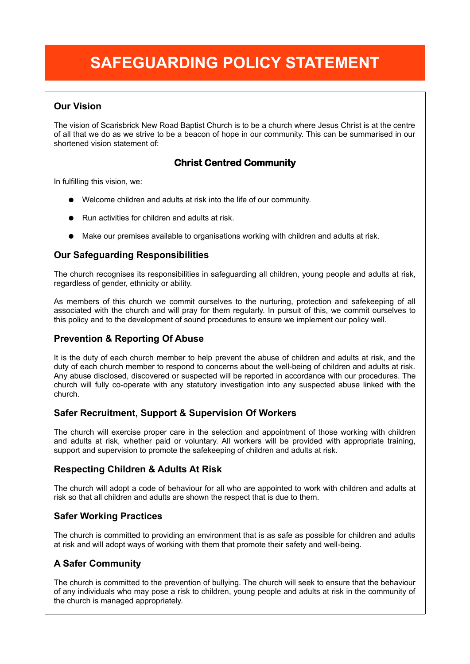# **SAFEGUARDING POLICY STATEMENT**

# **Our Vision**

The vision of Scarisbrick New Road Baptist Church is to be a church where Jesus Christ is at the centre of all that we do as we strive to be a beacon of hope in our community. This can be summarised in our shortened vision statement of:

# **Christ Centred Community**

In fulfilling this vision, we:

- Welcome children and adults at risk into the life of our community.
- Run activities for children and adults at risk
- Make our premises available to organisations working with children and adults at risk.

# **Our Safeguarding Responsibilities**

The church recognises its responsibilities in safeguarding all children, young people and adults at risk, regardless of gender, ethnicity or ability.

As members of this church we commit ourselves to the nurturing, protection and safekeeping of all associated with the church and will pray for them regularly. In pursuit of this, we commit ourselves to this policy and to the development of sound procedures to ensure we implement our policy well.

# **Prevention & Reporting Of Abuse**

It is the duty of each church member to help prevent the abuse of children and adults at risk, and the duty of each church member to respond to concerns about the well-being of children and adults at risk. Any abuse disclosed, discovered or suspected will be reported in accordance with our procedures. The church will fully co-operate with any statutory investigation into any suspected abuse linked with the church.

## **Safer Recruitment, Support & Supervision Of Workers**

The church will exercise proper care in the selection and appointment of those working with children and adults at risk, whether paid or voluntary. All workers will be provided with appropriate training, support and supervision to promote the safekeeping of children and adults at risk.

## **Respecting Children & Adults At Risk**

The church will adopt a code of behaviour for all who are appointed to work with children and adults at risk so that all children and adults are shown the respect that is due to them.

## **Safer Working Practices**

The church is committed to providing an environment that is as safe as possible for children and adults at risk and will adopt ways of working with them that promote their safety and well-being.

## **A Safer Community**

The church is committed to the prevention of bullying. The church will seek to ensure that the behaviour of any individuals who may pose a risk to children, young people and adults at risk in the community of the church is managed appropriately.